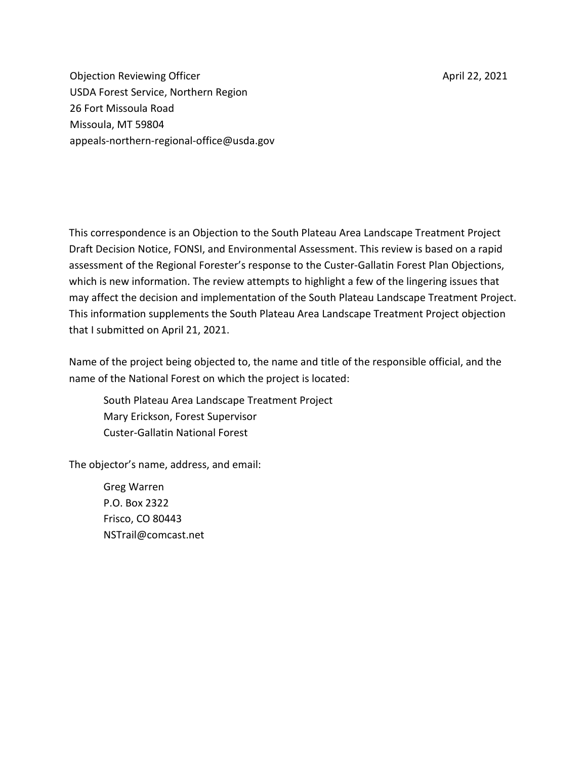April 22, 2021

Objection Reviewing Officer USDA Forest Service, Northern Region 26 Fort Missoula Road Missoula, MT 59804 appeals-northern-regional-office@usda.gov

This correspondence is an Objection to the South Plateau Area Landscape Treatment Project Draft Decision Notice, FONSI, and Environmental Assessment. This review is based on a rapid assessment of the Regional Forester's response to the Custer-Gallatin Forest Plan Objections, which is new information. The review attempts to highlight a few of the lingering issues that may affect the decision and implementation of the South Plateau Landscape Treatment Project. This information supplements the South Plateau Area Landscape Treatment Project objection that I submitted on April 21, 2021.

Name of the project being objected to, the name and title of the responsible official, and the name of the National Forest on which the project is located:

South Plateau Area Landscape Treatment Project Mary Erickson, Forest Supervisor Custer-Gallatin National Forest

The objector's name, address, and email:

Greg Warren P.O. Box 2322 Frisco, CO 80443 [NSTrail@comcast.net](mailto:NSTrail@comcast.net)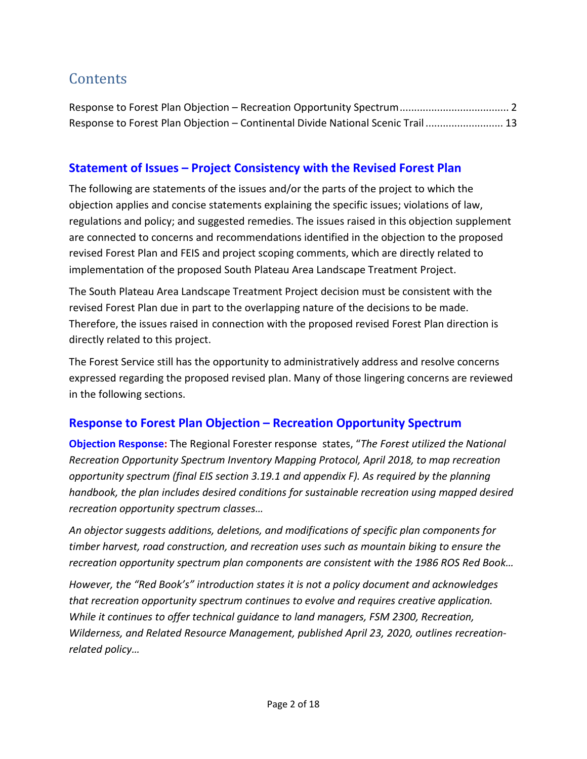## **Contents**

| Response to Forest Plan Objection - Continental Divide National Scenic Trail 13 |  |
|---------------------------------------------------------------------------------|--|

## **Statement of Issues – Project Consistency with the Revised Forest Plan**

The following are statements of the issues and/or the parts of the project to which the objection applies and concise statements explaining the specific issues; violations of law, regulations and policy; and suggested remedies. The issues raised in this objection supplement are connected to concerns and recommendations identified in the objection to the proposed revised Forest Plan and FEIS and project scoping comments, which are directly related to implementation of the proposed South Plateau Area Landscape Treatment Project.

The South Plateau Area Landscape Treatment Project decision must be consistent with the revised Forest Plan due in part to the overlapping nature of the decisions to be made. Therefore, the issues raised in connection with the proposed revised Forest Plan direction is directly related to this project.

The Forest Service still has the opportunity to administratively address and resolve concerns expressed regarding the proposed revised plan. Many of those lingering concerns are reviewed in the following sections.

## <span id="page-1-0"></span>**Response to Forest Plan Objection – Recreation Opportunity Spectrum**

**Objection Response:** The Regional Forester response states, "*The Forest utilized the National Recreation Opportunity Spectrum Inventory Mapping Protocol, April 2018, to map recreation opportunity spectrum (final EIS section 3.19.1 and appendix F). As required by the planning handbook, the plan includes desired conditions for sustainable recreation using mapped desired recreation opportunity spectrum classes…*

*An objector suggests additions, deletions, and modifications of specific plan components for timber harvest, road construction, and recreation uses such as mountain biking to ensure the recreation opportunity spectrum plan components are consistent with the 1986 ROS Red Book…*

*However, the "Red Book's" introduction states it is not a policy document and acknowledges that recreation opportunity spectrum continues to evolve and requires creative application. While it continues to offer technical guidance to land managers, FSM 2300, Recreation, Wilderness, and Related Resource Management, published April 23, 2020, outlines recreationrelated policy…*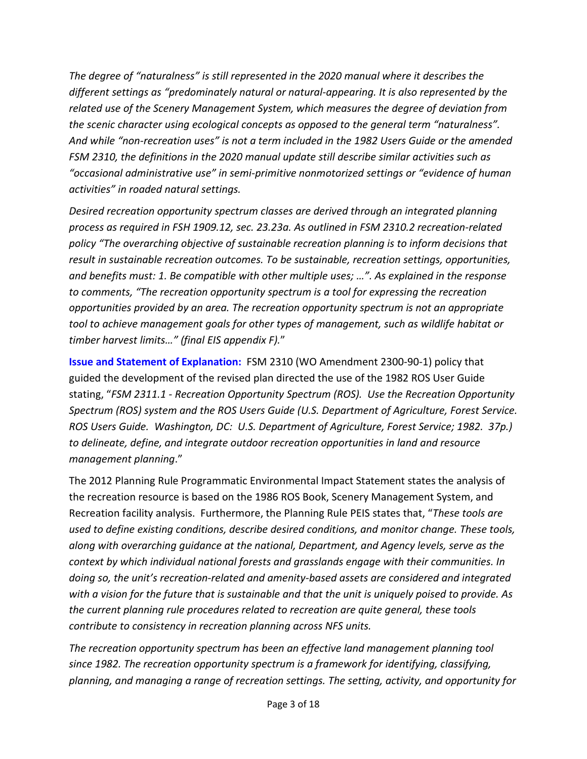*The degree of "naturalness" is still represented in the 2020 manual where it describes the different settings as "predominately natural or natural-appearing. It is also represented by the related use of the Scenery Management System, which measures the degree of deviation from the scenic character using ecological concepts as opposed to the general term "naturalness". And while "non-recreation uses" is not a term included in the 1982 Users Guide or the amended FSM 2310, the definitions in the 2020 manual update still describe similar activities such as "occasional administrative use" in semi-primitive nonmotorized settings or "evidence of human activities" in roaded natural settings.* 

*Desired recreation opportunity spectrum classes are derived through an integrated planning process as required in FSH 1909.12, sec. 23.23a. As outlined in FSM 2310.2 recreation-related policy "The overarching objective of sustainable recreation planning is to inform decisions that result in sustainable recreation outcomes. To be sustainable, recreation settings, opportunities, and benefits must: 1. Be compatible with other multiple uses; …". As explained in the response to comments, "The recreation opportunity spectrum is a tool for expressing the recreation opportunities provided by an area. The recreation opportunity spectrum is not an appropriate tool to achieve management goals for other types of management, such as wildlife habitat or timber harvest limits…" (final EIS appendix F).*"

**Issue and Statement of Explanation:** FSM 2310 (WO Amendment 2300-90-1) policy that guided the development of the revised plan directed the use of the 1982 ROS User Guide stating, "*FSM 2311.1 - Recreation Opportunity Spectrum (ROS). Use the Recreation Opportunity Spectrum (ROS) system and the ROS Users Guide (U.S. Department of Agriculture, Forest Service. ROS Users Guide. Washington, DC: U.S. Department of Agriculture, Forest Service; 1982. 37p.) to delineate, define, and integrate outdoor recreation opportunities in land and resource management planning*."

The 2012 Planning Rule Programmatic Environmental Impact Statement states the analysis of the recreation resource is based on the 1986 ROS Book, Scenery Management System, and Recreation facility analysis. Furthermore, the Planning Rule PEIS states that, "*These tools are used to define existing conditions, describe desired conditions, and monitor change. These tools, along with overarching guidance at the national, Department, and Agency levels, serve as the context by which individual national forests and grasslands engage with their communities. In doing so, the unit's recreation-related and amenity-based assets are considered and integrated with a vision for the future that is sustainable and that the unit is uniquely poised to provide. As the current planning rule procedures related to recreation are quite general, these tools contribute to consistency in recreation planning across NFS units.*

*The recreation opportunity spectrum has been an effective land management planning tool since 1982. The recreation opportunity spectrum is a framework for identifying, classifying, planning, and managing a range of recreation settings. The setting, activity, and opportunity for*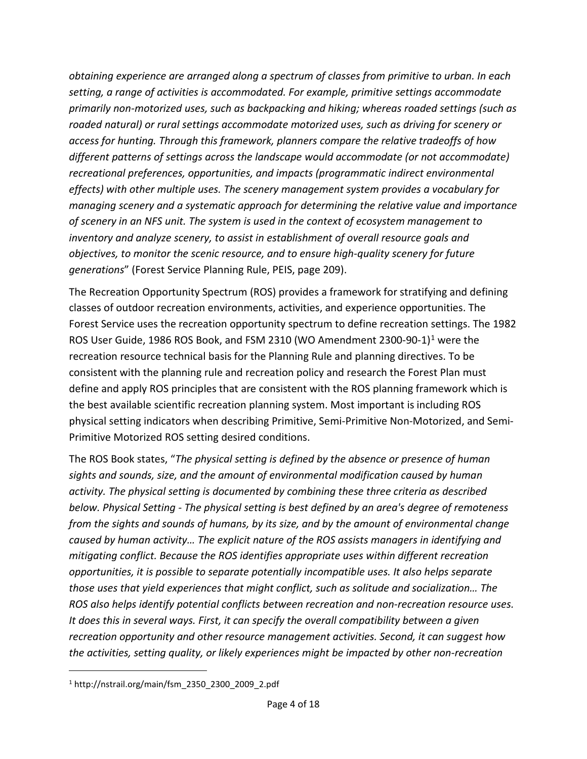*obtaining experience are arranged along a spectrum of classes from primitive to urban. In each setting, a range of activities is accommodated. For example, primitive settings accommodate primarily non-motorized uses, such as backpacking and hiking; whereas roaded settings (such as roaded natural) or rural settings accommodate motorized uses, such as driving for scenery or access for hunting. Through this framework, planners compare the relative tradeoffs of how different patterns of settings across the landscape would accommodate (or not accommodate) recreational preferences, opportunities, and impacts (programmatic indirect environmental effects) with other multiple uses. The scenery management system provides a vocabulary for managing scenery and a systematic approach for determining the relative value and importance of scenery in an NFS unit. The system is used in the context of ecosystem management to inventory and analyze scenery, to assist in establishment of overall resource goals and objectives, to monitor the scenic resource, and to ensure high-quality scenery for future generations*" (Forest Service Planning Rule, PEIS, page 209).

The Recreation Opportunity Spectrum (ROS) provides a framework for stratifying and defining classes of outdoor recreation environments, activities, and experience opportunities. The Forest Service uses the recreation opportunity spectrum to define recreation settings. The 1982 ROS User Guide, 1986 ROS Book, and FSM 2310 (WO Amendment 2300-90-1)[1](#page-3-0) were the recreation resource technical basis for the Planning Rule and planning directives. To be consistent with the planning rule and recreation policy and research the Forest Plan must define and apply ROS principles that are consistent with the ROS planning framework which is the best available scientific recreation planning system. Most important is including ROS physical setting indicators when describing Primitive, Semi-Primitive Non-Motorized, and Semi-Primitive Motorized ROS setting desired conditions.

The ROS Book states, "*The physical setting is defined by the absence or presence of human sights and sounds, size, and the amount of environmental modification caused by human activity. The physical setting is documented by combining these three criteria as described below. Physical Setting - The physical setting is best defined by an area's degree of remoteness from the sights and sounds of humans, by its size, and by the amount of environmental change caused by human activity… The explicit nature of the ROS assists managers in identifying and mitigating conflict. Because the ROS identifies appropriate uses within different recreation opportunities, it is possible to separate potentially incompatible uses. It also helps separate those uses that yield experiences that might conflict, such as solitude and socialization… The ROS also helps identify potential conflicts between recreation and non-recreation resource uses. It does this in several ways. First, it can specify the overall compatibility between a given recreation opportunity and other resource management activities. Second, it can suggest how the activities, setting quality, or likely experiences might be impacted by other non-recreation* 

<span id="page-3-0"></span> $1$  http://nstrail.org/main/fsm\_2350\_2300\_2009\_2.pdf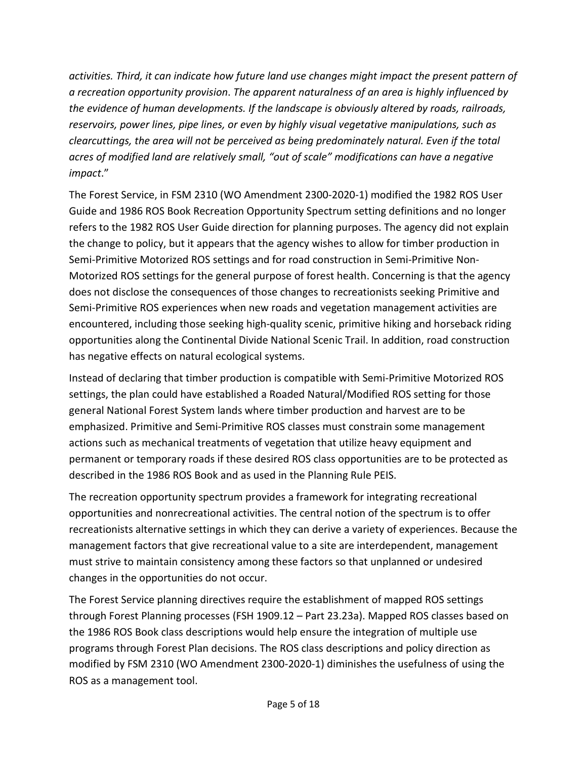*activities. Third, it can indicate how future land use changes might impact the present pattern of a recreation opportunity provision*. *The apparent naturalness of an area is highly influenced by the evidence of human developments. If the landscape is obviously altered by roads, railroads, reservoirs, power lines, pipe lines, or even by highly visual vegetative manipulations, such as clearcuttings, the area will not be perceived as being predominately natural. Even if the total acres of modified land are relatively small, "out of scale" modifications can have a negative impact*."

The Forest Service, in FSM 2310 (WO Amendment 2300-2020-1) modified the 1982 ROS User Guide and 1986 ROS Book Recreation Opportunity Spectrum setting definitions and no longer refers to the 1982 ROS User Guide direction for planning purposes. The agency did not explain the change to policy, but it appears that the agency wishes to allow for timber production in Semi-Primitive Motorized ROS settings and for road construction in Semi-Primitive Non-Motorized ROS settings for the general purpose of forest health. Concerning is that the agency does not disclose the consequences of those changes to recreationists seeking Primitive and Semi-Primitive ROS experiences when new roads and vegetation management activities are encountered, including those seeking high-quality scenic, primitive hiking and horseback riding opportunities along the Continental Divide National Scenic Trail. In addition, road construction has negative effects on natural ecological systems.

Instead of declaring that timber production is compatible with Semi-Primitive Motorized ROS settings, the plan could have established a Roaded Natural/Modified ROS setting for those general National Forest System lands where timber production and harvest are to be emphasized. Primitive and Semi-Primitive ROS classes must constrain some management actions such as mechanical treatments of vegetation that utilize heavy equipment and permanent or temporary roads if these desired ROS class opportunities are to be protected as described in the 1986 ROS Book and as used in the Planning Rule PEIS.

The recreation opportunity spectrum provides a framework for integrating recreational opportunities and nonrecreational activities. The central notion of the spectrum is to offer recreationists alternative settings in which they can derive a variety of experiences. Because the management factors that give recreational value to a site are interdependent, management must strive to maintain consistency among these factors so that unplanned or undesired changes in the opportunities do not occur.

The Forest Service planning directives require the establishment of mapped ROS settings through Forest Planning processes (FSH 1909.12 – Part 23.23a). Mapped ROS classes based on the 1986 ROS Book class descriptions would help ensure the integration of multiple use programs through Forest Plan decisions. The ROS class descriptions and policy direction as modified by FSM 2310 (WO Amendment 2300-2020-1) diminishes the usefulness of using the ROS as a management tool.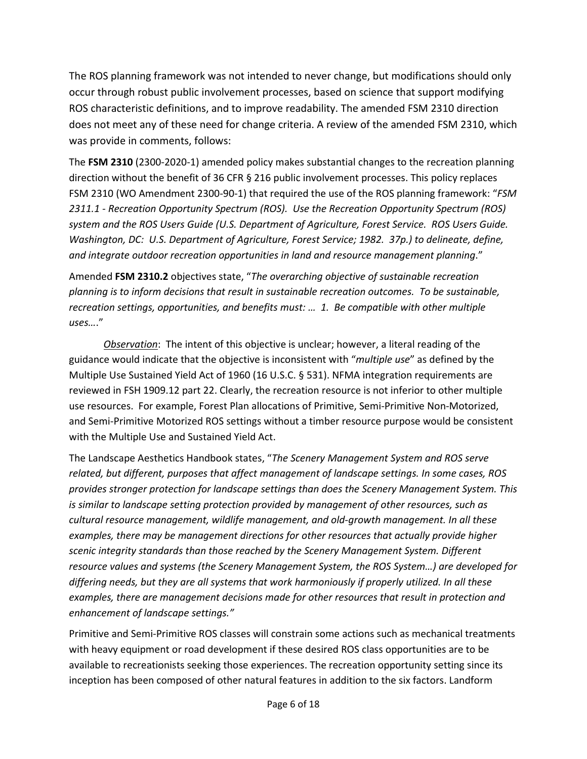The ROS planning framework was not intended to never change, but modifications should only occur through robust public involvement processes, based on science that support modifying ROS characteristic definitions, and to improve readability. The amended FSM 2310 direction does not meet any of these need for change criteria. A review of the amended FSM 2310, which was provide in comments, follows:

The **FSM 2310** (2300-2020-1) amended policy makes substantial changes to the recreation planning direction without the benefit of 36 CFR § 216 public involvement processes. This policy replaces FSM 2310 (WO Amendment 2300-90-1) that required the use of the ROS planning framework: "*FSM 2311.1 - Recreation Opportunity Spectrum (ROS). Use the Recreation Opportunity Spectrum (ROS) system and the ROS Users Guide (U.S. Department of Agriculture, Forest Service. ROS Users Guide. Washington, DC: U.S. Department of Agriculture, Forest Service; 1982. 37p.) to delineate, define, and integrate outdoor recreation opportunities in land and resource management planning*."

Amended **FSM 2310.2** objectives state, "*The overarching objective of sustainable recreation planning is to inform decisions that result in sustainable recreation outcomes. To be sustainable, recreation settings, opportunities, and benefits must: … 1. Be compatible with other multiple uses…*."

*Observation*: The intent of this objective is unclear; however, a literal reading of the guidance would indicate that the objective is inconsistent with "*multiple use*" as defined by the Multiple Use Sustained Yield Act of 1960 (16 U.S.C. § 531). NFMA integration requirements are reviewed in FSH 1909.12 part 22. Clearly, the recreation resource is not inferior to other multiple use resources. For example, Forest Plan allocations of Primitive, Semi-Primitive Non-Motorized, and Semi-Primitive Motorized ROS settings without a timber resource purpose would be consistent with the Multiple Use and Sustained Yield Act.

The Landscape Aesthetics Handbook states, "*The Scenery Management System and ROS serve related, but different, purposes that affect management of landscape settings. In some cases, ROS provides stronger protection for landscape settings than does the Scenery Management System. This is similar to landscape setting protection provided by management of other resources, such as cultural resource management, wildlife management, and old-growth management. In all these examples, there may be management directions for other resources that actually provide higher scenic integrity standards than those reached by the Scenery Management System. Different resource values and systems (the Scenery Management System, the ROS System…) are developed for differing needs, but they are all systems that work harmoniously if properly utilized. In all these examples, there are management decisions made for other resources that result in protection and enhancement of landscape settings."*

Primitive and Semi-Primitive ROS classes will constrain some actions such as mechanical treatments with heavy equipment or road development if these desired ROS class opportunities are to be available to recreationists seeking those experiences. The recreation opportunity setting since its inception has been composed of other natural features in addition to the six factors. Landform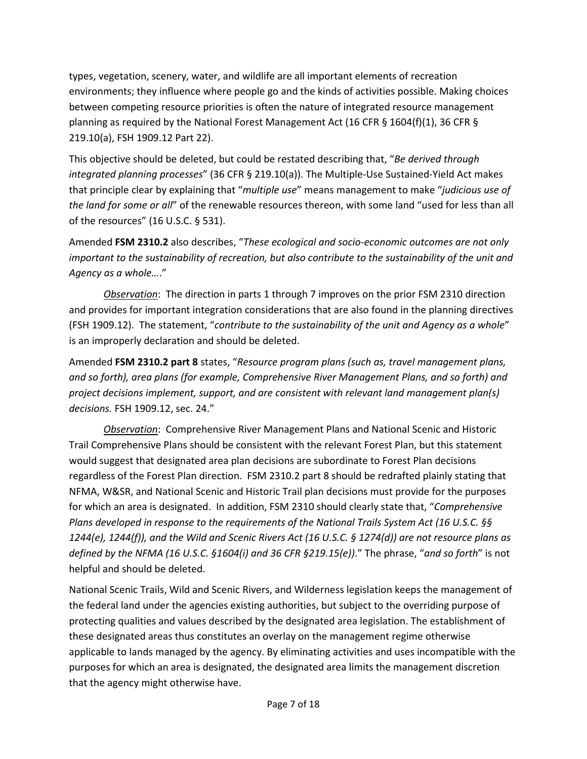types, vegetation, scenery, water, and wildlife are all important elements of recreation environments; they influence where people go and the kinds of activities possible. Making choices between competing resource priorities is often the nature of integrated resource management planning as required by the National Forest Management Act (16 CFR § 1604(f)(1), 36 CFR § 219.10(a), FSH 1909.12 Part 22).

This objective should be deleted, but could be restated describing that, "*Be derived through integrated planning processes*" (36 CFR § 219.10(a)). The Multiple-Use Sustained-Yield Act makes that principle clear by explaining that "*multiple use*" means management to make "*judicious use of the land for some or all*" of the renewable resources thereon, with some land "used for less than all of the resources" (16 U.S.C. § 531).

Amended **FSM 2310.2** also describes, "*These ecological and socio-economic outcomes are not only important to the sustainability of recreation, but also contribute to the sustainability of the unit and Agency as a whole…*."

*Observation*: The direction in parts 1 through 7 improves on the prior FSM 2310 direction and provides for important integration considerations that are also found in the planning directives (FSH 1909.12). The statement, "*contribute to the sustainability of the unit and Agency as a whole*" is an improperly declaration and should be deleted.

Amended **FSM 2310.2 part 8** states, "*Resource program plans (such as, travel management plans, and so forth), area plans (for example, Comprehensive River Management Plans, and so forth) and project decisions implement, support, and are consistent with relevant land management plan(s) decisions.* FSH 1909.12, sec. 24."

*Observation*: Comprehensive River Management Plans and National Scenic and Historic Trail Comprehensive Plans should be consistent with the relevant Forest Plan, but this statement would suggest that designated area plan decisions are subordinate to Forest Plan decisions regardless of the Forest Plan direction. FSM 2310.2 part 8 should be redrafted plainly stating that NFMA, W&SR, and National Scenic and Historic Trail plan decisions must provide for the purposes for which an area is designated. In addition, FSM 2310 should clearly state that, "*Comprehensive Plans developed in response to the requirements of the National Trails System Act (16 U.S.C. §§ 1244(e), 1244(f)), and the Wild and Scenic Rivers Act (16 U.S.C. § 1274(d)) are not resource plans as defined by the NFMA (16 U.S.C. §1604(i) and 36 CFR §219.15(e))*." The phrase, "*and so forth*" is not helpful and should be deleted.

National Scenic Trails, Wild and Scenic Rivers, and Wilderness legislation keeps the management of the federal land under the agencies existing authorities, but subject to the overriding purpose of protecting qualities and values described by the designated area legislation. The establishment of these designated areas thus constitutes an overlay on the management regime otherwise applicable to lands managed by the agency. By eliminating activities and uses incompatible with the purposes for which an area is designated, the designated area limits the management discretion that the agency might otherwise have.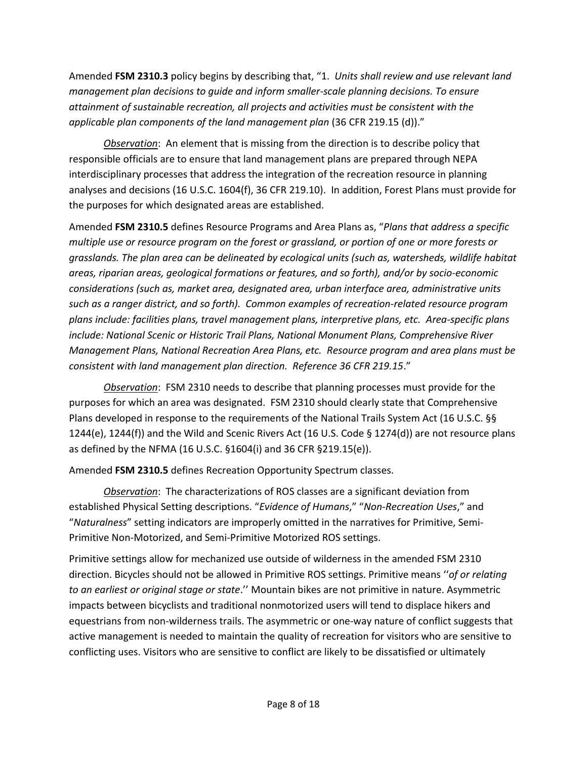Amended **FSM 2310.3** policy begins by describing that, "1. *Units shall review and use relevant land management plan decisions to guide and inform smaller-scale planning decisions. To ensure attainment of sustainable recreation, all projects and activities must be consistent with the applicable plan components of the land management plan* (36 CFR 219.15 (d))."

*Observation*: An element that is missing from the direction is to describe policy that responsible officials are to ensure that land management plans are prepared through NEPA interdisciplinary processes that address the integration of the recreation resource in planning analyses and decisions (16 U.S.C. 1604(f), 36 CFR 219.10). In addition, Forest Plans must provide for the purposes for which designated areas are established.

Amended **FSM 2310.5** defines Resource Programs and Area Plans as, "*Plans that address a specific multiple use or resource program on the forest or grassland, or portion of one or more forests or grasslands. The plan area can be delineated by ecological units (such as, watersheds, wildlife habitat areas, riparian areas, geological formations or features, and so forth), and/or by socio-economic considerations (such as, market area, designated area, urban interface area, administrative units such as a ranger district, and so forth). Common examples of recreation-related resource program plans include: facilities plans, travel management plans, interpretive plans, etc. Area-specific plans include: National Scenic or Historic Trail Plans, National Monument Plans, Comprehensive River Management Plans, National Recreation Area Plans, etc. Resource program and area plans must be consistent with land management plan direction. Reference 36 CFR 219.15*."

*Observation*: FSM 2310 needs to describe that planning processes must provide for the purposes for which an area was designated. FSM 2310 should clearly state that Comprehensive Plans developed in response to the requirements of the National Trails System Act (16 U.S.C. §§ 1244(e), 1244(f)) and the Wild and Scenic Rivers Act (16 U.S. Code § 1274(d)) are not resource plans as defined by the NFMA (16 U.S.C. §1604(i) and 36 CFR §219.15(e)).

Amended **FSM 2310.5** defines Recreation Opportunity Spectrum classes.

*Observation*: The characterizations of ROS classes are a significant deviation from established Physical Setting descriptions. "*Evidence of Humans*," "*Non-Recreation Uses*," and "*Naturalness*" setting indicators are improperly omitted in the narratives for Primitive, Semi-Primitive Non-Motorized, and Semi-Primitive Motorized ROS settings.

Primitive settings allow for mechanized use outside of wilderness in the amended FSM 2310 direction. Bicycles should not be allowed in Primitive ROS settings. Primitive means ''*of or relating to an earliest or original stage or state*.'' Mountain bikes are not primitive in nature. Asymmetric impacts between bicyclists and traditional nonmotorized users will tend to displace hikers and equestrians from non-wilderness trails. The asymmetric or one-way nature of conflict suggests that active management is needed to maintain the quality of recreation for visitors who are sensitive to conflicting uses. Visitors who are sensitive to conflict are likely to be dissatisfied or ultimately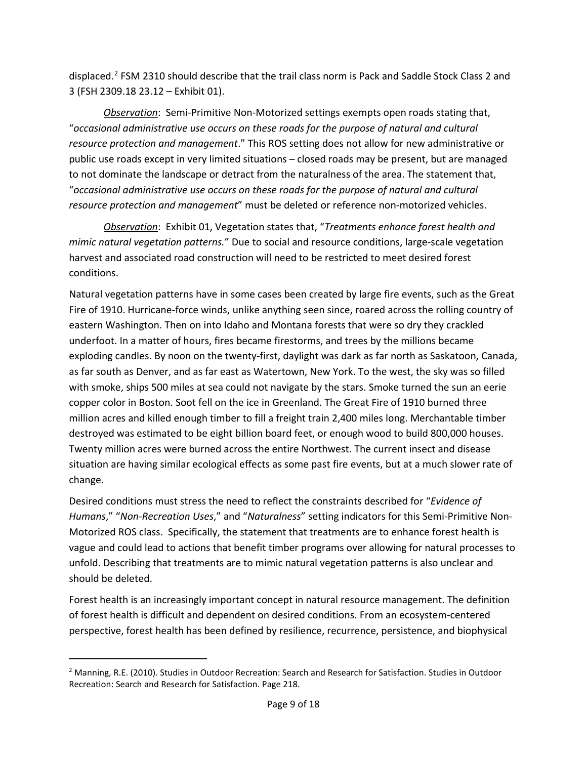displaced.[2](#page-8-0) FSM 2310 should describe that the trail class norm is Pack and Saddle Stock Class 2 and 3 (FSH 2309.18 23.12 – Exhibit 01).

*Observation*: Semi-Primitive Non-Motorized settings exempts open roads stating that, "*occasional administrative use occurs on these roads for the purpose of natural and cultural resource protection and management*." This ROS setting does not allow for new administrative or public use roads except in very limited situations – closed roads may be present, but are managed to not dominate the landscape or detract from the naturalness of the area. The statement that, "*occasional administrative use occurs on these roads for the purpose of natural and cultural resource protection and management*" must be deleted or reference non-motorized vehicles.

*Observation*: Exhibit 01, Vegetation states that, "*Treatments enhance forest health and mimic natural vegetation patterns.*" Due to social and resource conditions, large-scale vegetation harvest and associated road construction will need to be restricted to meet desired forest conditions.

Natural vegetation patterns have in some cases been created by large fire events, such as the Great Fire of 1910. Hurricane-force winds, unlike anything seen since, roared across the rolling country of eastern Washington. Then on into Idaho and Montana forests that were so dry they crackled underfoot. In a matter of hours, fires became firestorms, and trees by the millions became exploding candles. By noon on the twenty-first, daylight was dark as far north as Saskatoon, Canada, as far south as Denver, and as far east as Watertown, New York. To the west, the sky was so filled with smoke, ships 500 miles at sea could not navigate by the stars. Smoke turned the sun an eerie copper color in Boston. Soot fell on the ice in Greenland. The Great Fire of 1910 burned three million acres and killed enough timber to fill a freight train 2,400 miles long. Merchantable timber destroyed was estimated to be eight billion board feet, or enough wood to build 800,000 houses. Twenty million acres were burned across the entire Northwest. The current insect and disease situation are having similar ecological effects as some past fire events, but at a much slower rate of change.

Desired conditions must stress the need to reflect the constraints described for "*Evidence of Humans*," "*Non-Recreation Uses*," and "*Naturalness*" setting indicators for this Semi-Primitive Non-Motorized ROS class. Specifically, the statement that treatments are to enhance forest health is vague and could lead to actions that benefit timber programs over allowing for natural processes to unfold. Describing that treatments are to mimic natural vegetation patterns is also unclear and should be deleted.

Forest health is an increasingly important concept in natural resource management. The definition of forest health is difficult and dependent on desired conditions. From an ecosystem-centered perspective, forest health has been defined by resilience, recurrence, persistence, and biophysical

<span id="page-8-0"></span><sup>&</sup>lt;sup>2</sup> Manning, R.E. (2010). Studies in Outdoor Recreation: Search and Research for Satisfaction. Studies in Outdoor Recreation: Search and Research for Satisfaction. Page 218.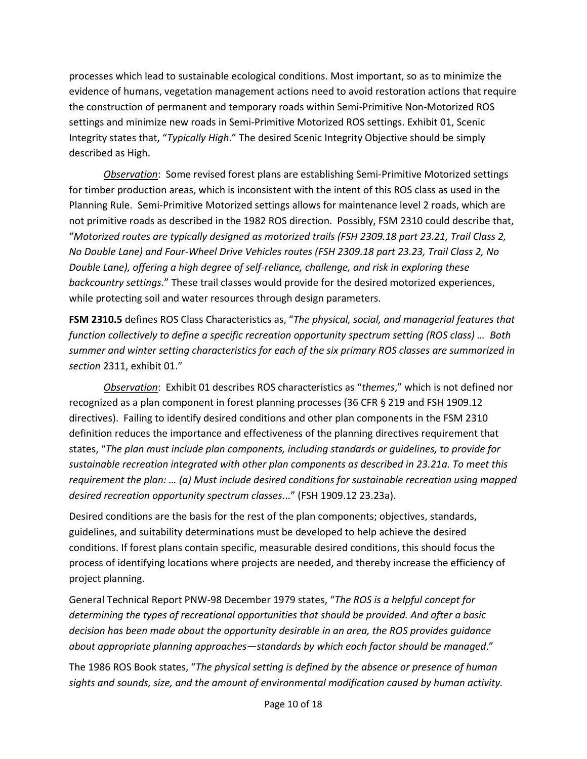processes which lead to sustainable ecological conditions. Most important, so as to minimize the evidence of humans, vegetation management actions need to avoid restoration actions that require the construction of permanent and temporary roads within Semi-Primitive Non-Motorized ROS settings and minimize new roads in Semi-Primitive Motorized ROS settings. Exhibit 01, Scenic Integrity states that, "*Typically High*." The desired Scenic Integrity Objective should be simply described as High.

*Observation*: Some revised forest plans are establishing Semi-Primitive Motorized settings for timber production areas, which is inconsistent with the intent of this ROS class as used in the Planning Rule. Semi-Primitive Motorized settings allows for maintenance level 2 roads, which are not primitive roads as described in the 1982 ROS direction. Possibly, FSM 2310 could describe that, "*Motorized routes are typically designed as motorized trails (FSH 2309.18 part 23.21, Trail Class 2, No Double Lane) and Four-Wheel Drive Vehicles routes (FSH 2309.18 part 23.23, Trail Class 2, No Double Lane), offering a high degree of self-reliance, challenge, and risk in exploring these backcountry settings*." These trail classes would provide for the desired motorized experiences, while protecting soil and water resources through design parameters.

**FSM 2310.5** defines ROS Class Characteristics as, "*The physical, social, and managerial features that function collectively to define a specific recreation opportunity spectrum setting (ROS class) … Both summer and winter setting characteristics for each of the six primary ROS classes are summarized in section* 2311, exhibit 01."

*Observation*: Exhibit 01 describes ROS characteristics as "*themes*," which is not defined nor recognized as a plan component in forest planning processes (36 CFR § 219 and FSH 1909.12 directives). Failing to identify desired conditions and other plan components in the FSM 2310 definition reduces the importance and effectiveness of the planning directives requirement that states, "*The plan must include plan components, including standards or guidelines, to provide for sustainable recreation integrated with other plan components as described in 23.21a. To meet this requirement the plan: … (a) Must include desired conditions for sustainable recreation using mapped desired recreation opportunity spectrum classes*..." (FSH 1909.12 23.23a).

Desired conditions are the basis for the rest of the plan components; objectives, standards, guidelines, and suitability determinations must be developed to help achieve the desired conditions. If forest plans contain specific, measurable desired conditions, this should focus the process of identifying locations where projects are needed, and thereby increase the efficiency of project planning.

General Technical Report PNW-98 December 1979 states, "*The ROS is a helpful concept for determining the types of recreational opportunities that should be provided. And after a basic decision has been made about the opportunity desirable in an area, the ROS provides guidance about appropriate planning approaches—standards by which each factor should be managed*."

The 1986 ROS Book states, "*The physical setting is defined by the absence or presence of human sights and sounds, size, and the amount of environmental modification caused by human activity.*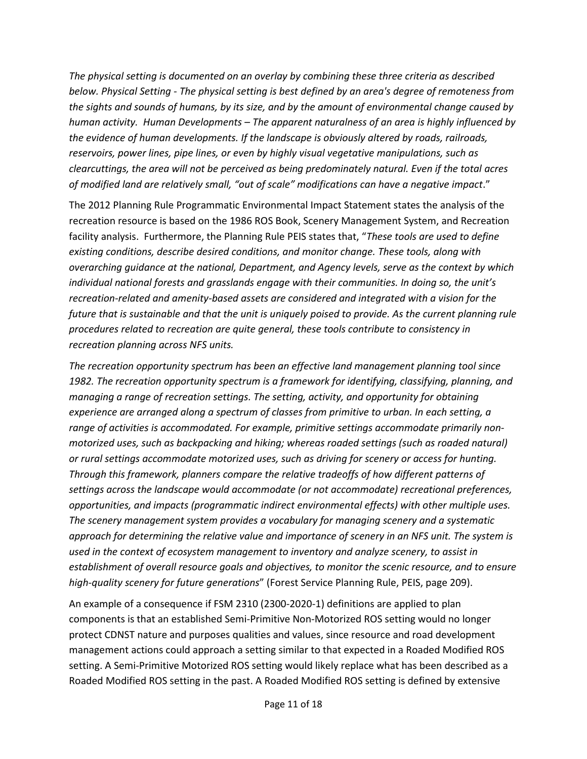*The physical setting is documented on an overlay by combining these three criteria as described below. Physical Setting - The physical setting is best defined by an area's degree of remoteness from the sights and sounds of humans, by its size, and by the amount of environmental change caused by human activity. Human Developments – The apparent naturalness of an area is highly influenced by the evidence of human developments. If the landscape is obviously altered by roads, railroads, reservoirs, power lines, pipe lines, or even by highly visual vegetative manipulations, such as clearcuttings, the area will not be perceived as being predominately natural. Even if the total acres of modified land are relatively small, "out of scale" modifications can have a negative impact*."

The 2012 Planning Rule Programmatic Environmental Impact Statement states the analysis of the recreation resource is based on the 1986 ROS Book, Scenery Management System, and Recreation facility analysis. Furthermore, the Planning Rule PEIS states that, "*These tools are used to define existing conditions, describe desired conditions, and monitor change. These tools, along with overarching guidance at the national, Department, and Agency levels, serve as the context by which individual national forests and grasslands engage with their communities. In doing so, the unit's recreation-related and amenity-based assets are considered and integrated with a vision for the future that is sustainable and that the unit is uniquely poised to provide. As the current planning rule procedures related to recreation are quite general, these tools contribute to consistency in recreation planning across NFS units.*

*The recreation opportunity spectrum has been an effective land management planning tool since 1982. The recreation opportunity spectrum is a framework for identifying, classifying, planning, and managing a range of recreation settings. The setting, activity, and opportunity for obtaining experience are arranged along a spectrum of classes from primitive to urban. In each setting, a range of activities is accommodated. For example, primitive settings accommodate primarily nonmotorized uses, such as backpacking and hiking; whereas roaded settings (such as roaded natural) or rural settings accommodate motorized uses, such as driving for scenery or access for hunting. Through this framework, planners compare the relative tradeoffs of how different patterns of settings across the landscape would accommodate (or not accommodate) recreational preferences, opportunities, and impacts (programmatic indirect environmental effects) with other multiple uses. The scenery management system provides a vocabulary for managing scenery and a systematic approach for determining the relative value and importance of scenery in an NFS unit. The system is used in the context of ecosystem management to inventory and analyze scenery, to assist in establishment of overall resource goals and objectives, to monitor the scenic resource, and to ensure high-quality scenery for future generations*" (Forest Service Planning Rule, PEIS, page 209).

An example of a consequence if FSM 2310 (2300-2020-1) definitions are applied to plan components is that an established Semi-Primitive Non-Motorized ROS setting would no longer protect CDNST nature and purposes qualities and values, since resource and road development management actions could approach a setting similar to that expected in a Roaded Modified ROS setting. A Semi-Primitive Motorized ROS setting would likely replace what has been described as a Roaded Modified ROS setting in the past. A Roaded Modified ROS setting is defined by extensive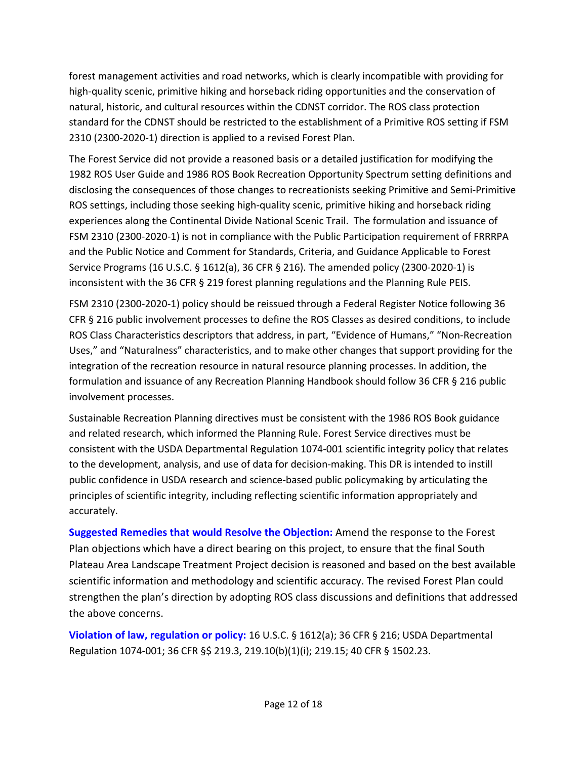forest management activities and road networks, which is clearly incompatible with providing for high-quality scenic, primitive hiking and horseback riding opportunities and the conservation of natural, historic, and cultural resources within the CDNST corridor. The ROS class protection standard for the CDNST should be restricted to the establishment of a Primitive ROS setting if FSM 2310 (2300-2020-1) direction is applied to a revised Forest Plan.

The Forest Service did not provide a reasoned basis or a detailed justification for modifying the 1982 ROS User Guide and 1986 ROS Book Recreation Opportunity Spectrum setting definitions and disclosing the consequences of those changes to recreationists seeking Primitive and Semi-Primitive ROS settings, including those seeking high-quality scenic, primitive hiking and horseback riding experiences along the Continental Divide National Scenic Trail. The formulation and issuance of FSM 2310 (2300-2020-1) is not in compliance with the Public Participation requirement of FRRRPA and the Public Notice and Comment for Standards, Criteria, and Guidance Applicable to Forest Service Programs (16 U.S.C. § 1612(a), 36 CFR § 216). The amended policy (2300-2020-1) is inconsistent with the 36 CFR § 219 forest planning regulations and the Planning Rule PEIS.

FSM 2310 (2300-2020-1) policy should be reissued through a Federal Register Notice following 36 CFR § 216 public involvement processes to define the ROS Classes as desired conditions, to include ROS Class Characteristics descriptors that address, in part, "Evidence of Humans," "Non-Recreation Uses," and "Naturalness" characteristics, and to make other changes that support providing for the integration of the recreation resource in natural resource planning processes. In addition, the formulation and issuance of any Recreation Planning Handbook should follow 36 CFR § 216 public involvement processes.

Sustainable Recreation Planning directives must be consistent with the 1986 ROS Book guidance and related research, which informed the Planning Rule. Forest Service directives must be consistent with the USDA Departmental Regulation 1074-001 scientific integrity policy that relates to the development, analysis, and use of data for decision-making. This DR is intended to instill public confidence in USDA research and science-based public policymaking by articulating the principles of scientific integrity, including reflecting scientific information appropriately and accurately.

**Suggested Remedies that would Resolve the Objection:** Amend the response to the Forest Plan objections which have a direct bearing on this project, to ensure that the final South Plateau Area Landscape Treatment Project decision is reasoned and based on the best available scientific information and methodology and scientific accuracy. The revised Forest Plan could strengthen the plan's direction by adopting ROS class discussions and definitions that addressed the above concerns.

**Violation of law, regulation or policy:** 16 U.S.C. § 1612(a); 36 CFR § 216; USDA Departmental Regulation 1074-001; 36 CFR §\$ 219.3, 219.10(b)(1)(i); 219.15; 40 CFR § 1502.23.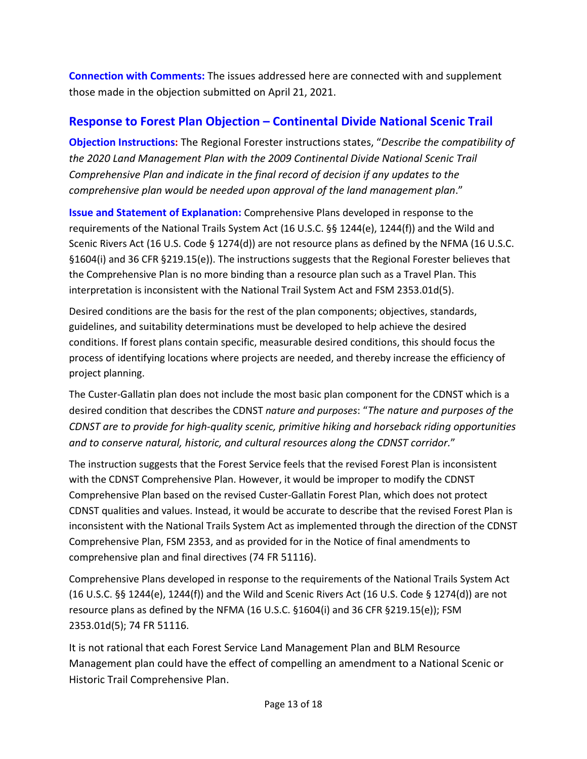**Connection with Comments:** The issues addressed here are connected with and supplement those made in the objection submitted on April 21, 2021.

## <span id="page-12-0"></span>**Response to Forest Plan Objection – Continental Divide National Scenic Trail**

**Objection Instructions:** The Regional Forester instructions states, "*Describe the compatibility of the 2020 Land Management Plan with the 2009 Continental Divide National Scenic Trail Comprehensive Plan and indicate in the final record of decision if any updates to the comprehensive plan would be needed upon approval of the land management plan*."

**Issue and Statement of Explanation:** Comprehensive Plans developed in response to the requirements of the National Trails System Act (16 U.S.C. §§ 1244(e), 1244(f)) and the Wild and Scenic Rivers Act (16 U.S. Code § 1274(d)) are not resource plans as defined by the NFMA (16 U.S.C. §1604(i) and 36 CFR §219.15(e)). The instructions suggests that the Regional Forester believes that the Comprehensive Plan is no more binding than a resource plan such as a Travel Plan. This interpretation is inconsistent with the National Trail System Act and FSM 2353.01d(5).

Desired conditions are the basis for the rest of the plan components; objectives, standards, guidelines, and suitability determinations must be developed to help achieve the desired conditions. If forest plans contain specific, measurable desired conditions, this should focus the process of identifying locations where projects are needed, and thereby increase the efficiency of project planning.

The Custer-Gallatin plan does not include the most basic plan component for the CDNST which is a desired condition that describes the CDNST *nature and purposes*: "*The nature and purposes of the CDNST are to provide for high-quality scenic, primitive hiking and horseback riding opportunities and to conserve natural, historic, and cultural resources along the CDNST corridor.*"

The instruction suggests that the Forest Service feels that the revised Forest Plan is inconsistent with the CDNST Comprehensive Plan. However, it would be improper to modify the CDNST Comprehensive Plan based on the revised Custer-Gallatin Forest Plan, which does not protect CDNST qualities and values. Instead, it would be accurate to describe that the revised Forest Plan is inconsistent with the National Trails System Act as implemented through the direction of the CDNST Comprehensive Plan, FSM 2353, and as provided for in the Notice of final amendments to comprehensive plan and final directives (74 FR 51116).

Comprehensive Plans developed in response to the requirements of the National Trails System Act (16 U.S.C. §§ 1244(e), 1244(f)) and the Wild and Scenic Rivers Act (16 U.S. Code § 1274(d)) are not resource plans as defined by the NFMA (16 U.S.C. §1604(i) and 36 CFR §219.15(e)); FSM 2353.01d(5); 74 FR 51116.

It is not rational that each Forest Service Land Management Plan and BLM Resource Management plan could have the effect of compelling an amendment to a National Scenic or Historic Trail Comprehensive Plan.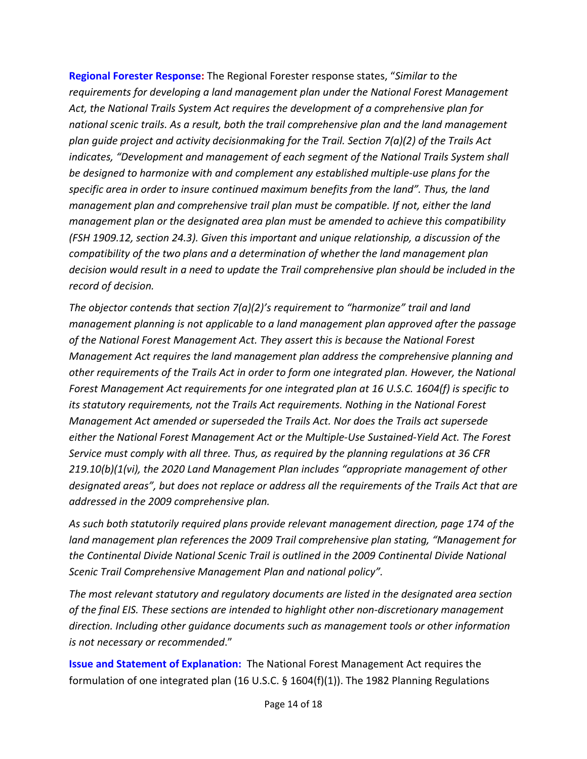**Regional Forester Response:** The Regional Forester response states, "*Similar to the requirements for developing a land management plan under the National Forest Management Act, the National Trails System Act requires the development of a comprehensive plan for national scenic trails. As a result, both the trail comprehensive plan and the land management plan guide project and activity decisionmaking for the Trail. Section 7(a)(2) of the Trails Act indicates, "Development and management of each segment of the National Trails System shall be designed to harmonize with and complement any established multiple-use plans for the specific area in order to insure continued maximum benefits from the land". Thus, the land management plan and comprehensive trail plan must be compatible. If not, either the land management plan or the designated area plan must be amended to achieve this compatibility (FSH 1909.12, section 24.3). Given this important and unique relationship, a discussion of the compatibility of the two plans and a determination of whether the land management plan decision would result in a need to update the Trail comprehensive plan should be included in the record of decision.* 

*The objector contends that section 7(a)(2)'s requirement to "harmonize" trail and land management planning is not applicable to a land management plan approved after the passage of the National Forest Management Act. They assert this is because the National Forest Management Act requires the land management plan address the comprehensive planning and other requirements of the Trails Act in order to form one integrated plan. However, the National Forest Management Act requirements for one integrated plan at 16 U.S.C. 1604(f) is specific to its statutory requirements, not the Trails Act requirements. Nothing in the National Forest Management Act amended or superseded the Trails Act. Nor does the Trails act supersede either the National Forest Management Act or the Multiple-Use Sustained-Yield Act. The Forest Service must comply with all three. Thus, as required by the planning regulations at 36 CFR 219.10(b)(1(vi), the 2020 Land Management Plan includes "appropriate management of other designated areas", but does not replace or address all the requirements of the Trails Act that are addressed in the 2009 comprehensive plan.* 

*As such both statutorily required plans provide relevant management direction, page 174 of the land management plan references the 2009 Trail comprehensive plan stating, "Management for the Continental Divide National Scenic Trail is outlined in the 2009 Continental Divide National Scenic Trail Comprehensive Management Plan and national policy".* 

*The most relevant statutory and regulatory documents are listed in the designated area section of the final EIS. These sections are intended to highlight other non-discretionary management direction. Including other guidance documents such as management tools or other information is not necessary or recommended*."

**Issue and Statement of Explanation:** The National Forest Management Act requires the formulation of one integrated plan (16 U.S.C.  $\S$  1604(f)(1)). The 1982 Planning Regulations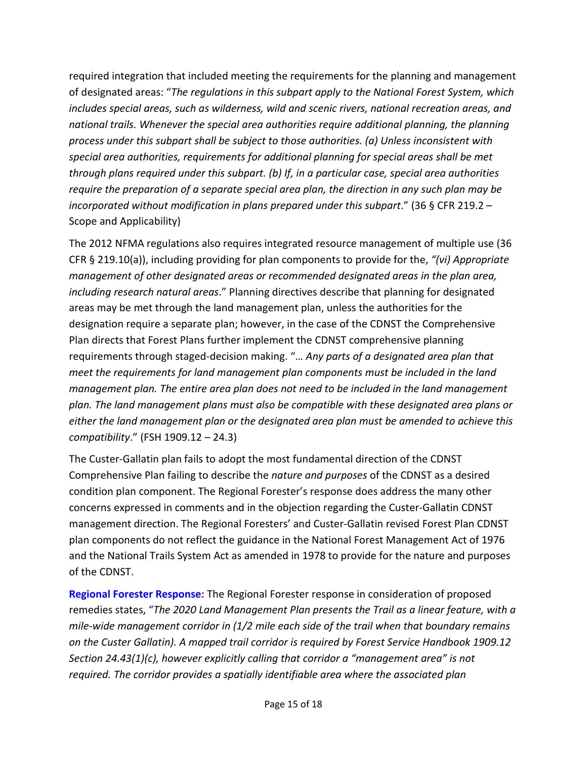required integration that included meeting the requirements for the planning and management of designated areas: "*The regulations in this subpart apply to the National Forest System, which includes special areas, such as wilderness, wild and scenic rivers, national recreation areas, and national trails. Whenever the special area authorities require additional planning, the planning process under this subpart shall be subject to those authorities. (a) Unless inconsistent with special area authorities, requirements for additional planning for special areas shall be met through plans required under this subpart. (b) If, in a particular case, special area authorities require the preparation of a separate special area plan, the direction in any such plan may be incorporated without modification in plans prepared under this subpart*." (36 § CFR 219.2 – Scope and Applicability)

The 2012 NFMA regulations also requires integrated resource management of multiple use (36 CFR § 219.10(a)), including providing for plan components to provide for the, *"(vi) Appropriate management of other designated areas or recommended designated areas in the plan area, including research natural areas*." Planning directives describe that planning for designated areas may be met through the land management plan, unless the authorities for the designation require a separate plan; however, in the case of the CDNST the Comprehensive Plan directs that Forest Plans further implement the CDNST comprehensive planning requirements through staged-decision making. "… *Any parts of a designated area plan that meet the requirements for land management plan components must be included in the land management plan. The entire area plan does not need to be included in the land management plan. The land management plans must also be compatible with these designated area plans or either the land management plan or the designated area plan must be amended to achieve this compatibility*." (FSH 1909.12 – 24.3)

The Custer-Gallatin plan fails to adopt the most fundamental direction of the CDNST Comprehensive Plan failing to describe the *nature and purposes* of the CDNST as a desired condition plan component. The Regional Forester's response does address the many other concerns expressed in comments and in the objection regarding the Custer-Gallatin CDNST management direction. The Regional Foresters' and Custer-Gallatin revised Forest Plan CDNST plan components do not reflect the guidance in the National Forest Management Act of 1976 and the National Trails System Act as amended in 1978 to provide for the nature and purposes of the CDNST.

**Regional Forester Response:** The Regional Forester response in consideration of proposed remedies states, "*The 2020 Land Management Plan presents the Trail as a linear feature, with a mile-wide management corridor in (1/2 mile each side of the trail when that boundary remains on the Custer Gallatin). A mapped trail corridor is required by Forest Service Handbook 1909.12 Section 24.43(1)(c), however explicitly calling that corridor a "management area" is not required. The corridor provides a spatially identifiable area where the associated plan*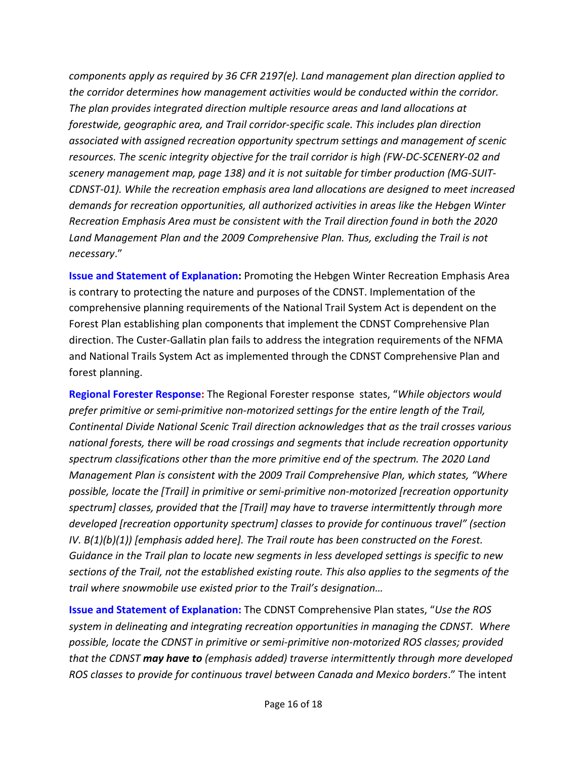*components apply as required by 36 CFR 2197(e). Land management plan direction applied to the corridor determines how management activities would be conducted within the corridor. The plan provides integrated direction multiple resource areas and land allocations at forestwide, geographic area, and Trail corridor-specific scale. This includes plan direction associated with assigned recreation opportunity spectrum settings and management of scenic resources. The scenic integrity objective for the trail corridor is high (FW-DC-SCENERY-02 and scenery management map, page 138) and it is not suitable for timber production (MG-SUIT-CDNST-01). While the recreation emphasis area land allocations are designed to meet increased demands for recreation opportunities, all authorized activities in areas like the Hebgen Winter Recreation Emphasis Area must be consistent with the Trail direction found in both the 2020*  Land Management Plan and the 2009 Comprehensive Plan. Thus, excluding the Trail is not *necessary*."

**Issue and Statement of Explanation:** Promoting the Hebgen Winter Recreation Emphasis Area is contrary to protecting the nature and purposes of the CDNST. Implementation of the comprehensive planning requirements of the National Trail System Act is dependent on the Forest Plan establishing plan components that implement the CDNST Comprehensive Plan direction. The Custer-Gallatin plan fails to address the integration requirements of the NFMA and National Trails System Act as implemented through the CDNST Comprehensive Plan and forest planning.

**Regional Forester Response:** The Regional Forester response states, "*While objectors would prefer primitive or semi-primitive non-motorized settings for the entire length of the Trail, Continental Divide National Scenic Trail direction acknowledges that as the trail crosses various national forests, there will be road crossings and segments that include recreation opportunity spectrum classifications other than the more primitive end of the spectrum. The 2020 Land Management Plan is consistent with the 2009 Trail Comprehensive Plan, which states, "Where possible, locate the [Trail] in primitive or semi-primitive non-motorized [recreation opportunity spectrum] classes, provided that the [Trail] may have to traverse intermittently through more developed [recreation opportunity spectrum] classes to provide for continuous travel" (section IV. B(1)(b)(1)) [emphasis added here]. The Trail route has been constructed on the Forest. Guidance in the Trail plan to locate new segments in less developed settings is specific to new sections of the Trail, not the established existing route. This also applies to the segments of the trail where snowmobile use existed prior to the Trail's designation…*

**Issue and Statement of Explanation:** The CDNST Comprehensive Plan states, "*Use the ROS system in delineating and integrating recreation opportunities in managing the CDNST. Where possible, locate the CDNST in primitive or semi-primitive non-motorized ROS classes; provided that the CDNST may have to (emphasis added) traverse intermittently through more developed ROS classes to provide for continuous travel between Canada and Mexico borders*." The intent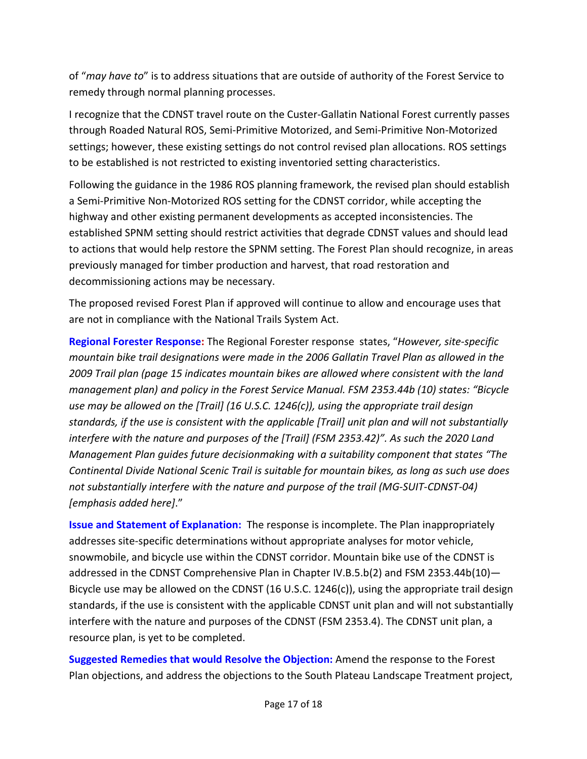of "*may have to*" is to address situations that are outside of authority of the Forest Service to remedy through normal planning processes.

I recognize that the CDNST travel route on the Custer-Gallatin National Forest currently passes through Roaded Natural ROS, Semi-Primitive Motorized, and Semi-Primitive Non-Motorized settings; however, these existing settings do not control revised plan allocations. ROS settings to be established is not restricted to existing inventoried setting characteristics.

Following the guidance in the 1986 ROS planning framework, the revised plan should establish a Semi-Primitive Non-Motorized ROS setting for the CDNST corridor, while accepting the highway and other existing permanent developments as accepted inconsistencies. The established SPNM setting should restrict activities that degrade CDNST values and should lead to actions that would help restore the SPNM setting. The Forest Plan should recognize, in areas previously managed for timber production and harvest, that road restoration and decommissioning actions may be necessary.

The proposed revised Forest Plan if approved will continue to allow and encourage uses that are not in compliance with the National Trails System Act.

**Regional Forester Response:** The Regional Forester response states, "*However, site-specific mountain bike trail designations were made in the 2006 Gallatin Travel Plan as allowed in the 2009 Trail plan (page 15 indicates mountain bikes are allowed where consistent with the land management plan) and policy in the Forest Service Manual. FSM 2353.44b (10) states: "Bicycle use may be allowed on the [Trail] (16 U.S.C. 1246(c)), using the appropriate trail design standards, if the use is consistent with the applicable [Trail] unit plan and will not substantially interfere with the nature and purposes of the [Trail] (FSM 2353.42)". As such the 2020 Land Management Plan guides future decisionmaking with a suitability component that states "The Continental Divide National Scenic Trail is suitable for mountain bikes, as long as such use does not substantially interfere with the nature and purpose of the trail (MG-SUIT-CDNST-04) [emphasis added here]*."

**Issue and Statement of Explanation:** The response is incomplete. The Plan inappropriately addresses site-specific determinations without appropriate analyses for motor vehicle, snowmobile, and bicycle use within the CDNST corridor. Mountain bike use of the CDNST is addressed in the CDNST Comprehensive Plan in Chapter IV.B.5.b(2) and FSM 2353.44b(10)-Bicycle use may be allowed on the CDNST (16 U.S.C. 1246(c)), using the appropriate trail design standards, if the use is consistent with the applicable CDNST unit plan and will not substantially interfere with the nature and purposes of the CDNST (FSM 2353.4). The CDNST unit plan, a resource plan, is yet to be completed.

**Suggested Remedies that would Resolve the Objection:** Amend the response to the Forest Plan objections, and address the objections to the South Plateau Landscape Treatment project,